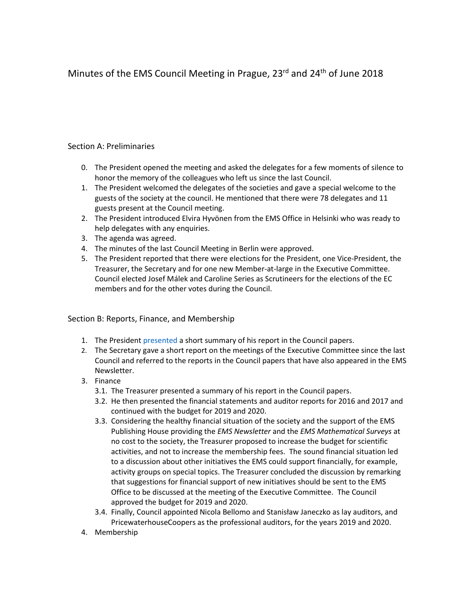# Minutes of the EMS Council Meeting in Prague, 23<sup>rd</sup> and 24<sup>th</sup> of June 2018

## Section A: Preliminaries

- 0. The President opened the meeting and asked the delegates for a few moments of silence to honor the memory of the colleagues who left us since the last Council.
- 1. The President welcomed the delegates of the societies and gave a special welcome to the guests of the society at the council. He mentioned that there were 78 delegates and 11 guests present at the Council meeting.
- 2. The President introduced Elvira Hyvönen from the EMS Office in Helsinki who was ready to help delegates with any enquiries.
- 3. The agenda was agreed.
- 4. The minutes of the last Council Meeting in Berlin were approved.
- 5. The President reported that there were elections for the President, one Vice-President, the Treasurer, the Secretary and for one new Member-at-large in the Executive Committee. Council elected Josef Málek and Caroline Series as Scrutineers for the elections of the EC members and for the other votes during the Council.

## Section B: Reports, Finance, and Membership

- 1. The President [presented](http://euro-math-soc.eu/system/files/uploads/B.1.%20EMS%20President-council18p.pdf) a short summary of his report in the Council papers.
- 2. The Secretary gave a short report on the meetings of the Executive Committee since the last Council and referred to the reports in the Council papers that have also appeared in the EMS Newsletter.
- 3. Finance
	- 3.1. The Treasurer presented a summary of his report in the Council papers.
	- 3.2. He then presented the financial statements and auditor reports for 2016 and 2017 and continued with the budget for 2019 and 2020.
	- 3.3. Considering the healthy financial situation of the society and the support of the EMS Publishing House providing the *EMS Newsletter* and the *EMS Mathematical Surveys* at no cost to the society, the Treasurer proposed to increase the budget for scientific activities, and not to increase the membership fees. The sound financial situation led to a discussion about other initiatives the EMS could support financially, for example, activity groups on special topics. The Treasurer concluded the discussion by remarking that suggestions for financial support of new initiatives should be sent to the EMS Office to be discussed at the meeting of the Executive Committee. The Council approved the budget for 2019 and 2020.
	- 3.4. Finally, Council appointed Nicola Bellomo and Stanisław Janeczko as lay auditors, and PricewaterhouseCoopers as the professional auditors, for the years 2019 and 2020.
- 4. Membership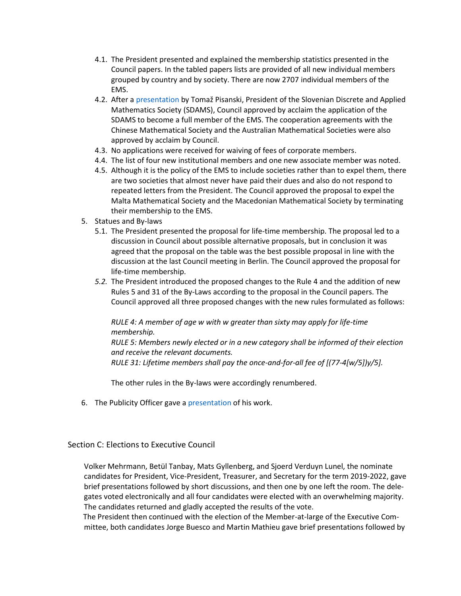- 4.1. The President presented and explained the membership statistics presented in the Council papers. In the tabled papers lists are provided of all new individual members grouped by country and by society. There are now 2707 individual members of the EMS.
- 4.2. After [a presentation](http://euro-math-soc.eu/system/files/uploads/B.4.4.%20SDAMS_presentation.pdf) by Tomaž Pisanski, President of the Slovenian Discrete and Applied Mathematics Society (SDAMS), Council approved by acclaim the application of the SDAMS to become a full member of the EMS. The cooperation agreements with the Chinese Mathematical Society and the Australian Mathematical Societies were also approved by acclaim by Council.
- 4.3. No applications were received for waiving of fees of corporate members.
- 4.4. The list of four new institutional members and one new associate member was noted.
- 4.5. Although it is the policy of the EMS to include societies rather than to expel them, there are two societies that almost never have paid their dues and also do not respond to repeated letters from the President. The Council approved the proposal to expel the Malta Mathematical Society and the Macedonian Mathematical Society by terminating their membership to the EMS.
- 5. Statues and By-laws
	- 5.1. The President presented the proposal for life-time membership. The proposal led to a discussion in Council about possible alternative proposals, but in conclusion it was agreed that the proposal on the table was the best possible proposal in line with the discussion at the last Council meeting in Berlin. The Council approved the proposal for life-time membership.
	- *5.2.* The President introduced the proposed changes to the Rule 4 and the addition of new Rules 5 and 31 of the By-Laws according to the proposal in the Council papers. The Council approved all three proposed changes with the new rules formulated as follows:

## *RULE 4: A member of age w with w greater than sixty may apply for life-time membership.*

*RULE 5: Members newly elected or in a new category shall be informed of their election and receive the relevant documents. RULE 31: Lifetime members shall pay the once-and-for-all fee of [(77-4[w/5])y/5].*

The other rules in the By-laws were accordingly renumbered.

6. The Publicity Officer gave a [presentation](http://euro-math-soc.eu/system/files/uploads/B.6.%20ElwesPOPresentation.pdf) of his work.

## Section C: Elections to Executive Council

Volker Mehrmann, Betül Tanbay, Mats Gyllenberg, and Sjoerd Verduyn Lunel, the nominate candidates for President, Vice-President, Treasurer, and Secretary for the term 2019-2022, gave brief presentations followed by short discussions, and then one by one left the room. The delegates voted electronically and all four candidates were elected with an overwhelming majority. The candidates returned and gladly accepted the results of the vote.

The President then continued with the election of the Member-at-large of the Executive Committee, both candidates Jorge Buesco and Martin Mathieu gave brief presentations followed by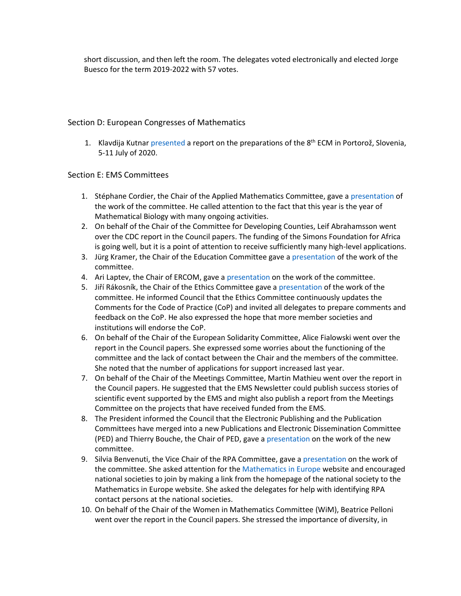short discussion, and then left the room. The delegates voted electronically and elected Jorge Buesco for the term 2019-2022 with 57 votes.

## Section D: European Congresses of Mathematics

1. Klavdija Kutnar [presented](http://euro-math-soc.eu/system/files/uploads/D.1.%20UPDATED%208ECM_2020_presentation_Prague-1.pdf) a report on the preparations of the 8<sup>th</sup> ECM in Portorož, Slovenia, 5-11 July of 2020.

#### Section E: EMS Committees

- 1. Stéphane Cordier, the Chair of the Applied Mathematics Committee, gave a [presentation](http://euro-math-soc.eu/system/files/uploads/E.1.%20AMC-june2018-pragha.pdf) of the work of the committee. He called attention to the fact that this year is the year of Mathematical Biology with many ongoing activities.
- 2. On behalf of the Chair of the Committee for Developing Counties, Leif Abrahamsson went over the CDC report in the Council papers. The funding of the Simons Foundation for Africa is going well, but it is a point of attention to receive sufficiently many high-level applications.
- 3. Jürg Kramer, the Chair of the Education Committee gave a [presentation](http://euro-math-soc.eu/system/files/uploads/E.3.%20Council-2018-Education.pdf) of the work of the committee.
- 4. Ari Laptev, the Chair of ERCOM, gave a [presentation](http://euro-math-soc.eu/system/files/uploads/ERCOM%20Presentation%20.pdf) on the work of the committee.
- 5. Jiří Rákosník, the Chair of the Ethics Committee gave [a presentation](http://euro-math-soc.eu/system/files/uploads/E.5.%20Ethics.pdf) of the work of the committee. He informed Council that the Ethics Committee continuously updates the Comments for the Code of Practice (CoP) and invited all delegates to prepare comments and feedback on the CoP. He also expressed the hope that more member societies and institutions will endorse the CoP.
- 6. On behalf of the Chair of the European Solidarity Committee, Alice Fialowski went over the report in the Council papers. She expressed some worries about the functioning of the committee and the lack of contact between the Chair and the members of the committee. She noted that the number of applications for support increased last year.
- 7. On behalf of the Chair of the Meetings Committee, Martin Mathieu went over the report in the Council papers. He suggested that the EMS Newsletter could publish success stories of scientific event supported by the EMS and might also publish a report from the Meetings Committee on the projects that have received funded from the EMS.
- 8. The President informed the Council that the Electronic Publishing and the Publication Committees have merged into a new Publications and Electronic Dissemination Committee (PED) and Thierry Bouche, the Chair of PED, gave [a presentation](http://euro-math-soc.eu/system/files/uploads/E.8.%20pedc.pdf) on the work of the new committee.
- 9. Silvia Benvenuti, the Vice Chair of the RPA Committee, gave [a presentation](http://euro-math-soc.eu/system/files/uploads/Benvenuti_RPA_Praga2018.pdf) on the work of the committee. She asked attention for th[e Mathematics in Europe](http://mathematics-in-europe.eu/) website and encouraged national societies to join by making a link from the homepage of the national society to the Mathematics in Europe website. She asked the delegates for help with identifying RPA contact persons at the national societies.
- 10. On behalf of the Chair of the Women in Mathematics Committee (WiM), Beatrice Pelloni went over the report in the Council papers. She stressed the importance of diversity, in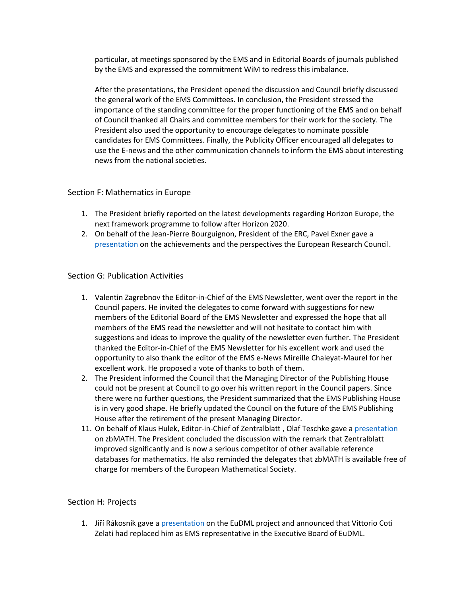particular, at meetings sponsored by the EMS and in Editorial Boards of journals published by the EMS and expressed the commitment WiM to redress this imbalance.

After the presentations, the President opened the discussion and Council briefly discussed the general work of the EMS Committees. In conclusion, the President stressed the importance of the standing committee for the proper functioning of the EMS and on behalf of Council thanked all Chairs and committee members for their work for the society. The President also used the opportunity to encourage delegates to nominate possible candidates for EMS Committees. Finally, the Publicity Officer encouraged all delegates to use the E-news and the other communication channels to inform the EMS about interesting news from the national societies.

#### Section F: Mathematics in Europe

- 1. The President briefly reported on the latest developments regarding Horizon Europe, the next framework programme to follow after Horizon 2020.
- 2. On behalf of the Jean-Pierre Bourguignon, President of the ERC, Pavel Exner gave a [presentation](http://euro-math-soc.eu/system/files/uploads/ERC.SME_.6.2018.pdf) on the achievements and the perspectives the European Research Council.

#### Section G: Publication Activities

- 1. Valentin Zagrebnov the Editor-in-Chief of the EMS Newsletter, went over the report in the Council papers. He invited the delegates to come forward with suggestions for new members of the Editorial Board of the EMS Newsletter and expressed the hope that all members of the EMS read the newsletter and will not hesitate to contact him with suggestions and ideas to improve the quality of the newsletter even further. The President thanked the Editor-in-Chief of the EMS Newsletter for his excellent work and used the opportunity to also thank the editor of the EMS e-News Mireille Chaleyat-Maurel for her excellent work. He proposed a vote of thanks to both of them.
- 2. The President informed the Council that the Managing Director of the Publishing House could not be present at Council to go over his written report in the Council papers. Since there were no further questions, the President summarized that the EMS Publishing House is in very good shape. He briefly updated the Council on the future of the EMS Publishing House after the retirement of the present Managing Director.
- 11. On behalf of Klaus Hulek, Editor-in-Chief of Zentralblatt , Olaf Teschke gave a [presentation](http://euro-math-soc.eu/system/files/uploads/Report%20zbMATH%20EMS%20Council%20June%202018.pdf) on zbMATH. The President concluded the discussion with the remark that Zentralblatt improved significantly and is now a serious competitor of other available reference databases for mathematics. He also reminded the delegates that zbMATH is available free of charge for members of the European Mathematical Society.

#### Section H: Projects

1. Jiří Rákosník gave a [presentation](http://euro-math-soc.eu/system/files/uploads/H1.EuDML_.pdf) on the EuDML project and announced that Vittorio Coti Zelati had replaced him as EMS representative in the Executive Board of EuDML.